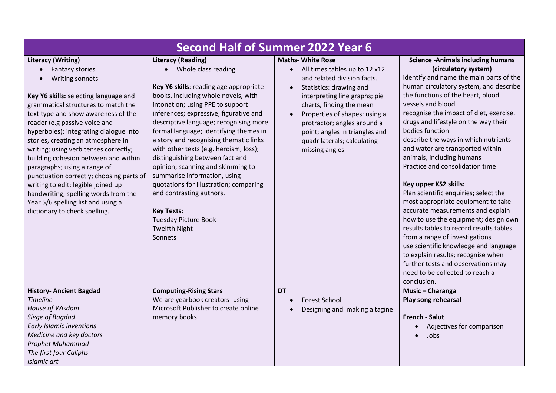| <b>Second Half of Summer 2022 Year 6</b>                                                                                                                                                                                                                                                                                                                                                                                                                                                                                                                                                                                  |                                                                                                                                                                                                                                                                                                                                                                                                                                                                                                                                                                                                                                                                |                                                                                                                                                                                                                                                                                                                                                  |                                                                                                                                                                                                                                                                                                                                                                                                                                                                                                                                                                                                                                                                                                                                                                                                                                                                                                            |  |
|---------------------------------------------------------------------------------------------------------------------------------------------------------------------------------------------------------------------------------------------------------------------------------------------------------------------------------------------------------------------------------------------------------------------------------------------------------------------------------------------------------------------------------------------------------------------------------------------------------------------------|----------------------------------------------------------------------------------------------------------------------------------------------------------------------------------------------------------------------------------------------------------------------------------------------------------------------------------------------------------------------------------------------------------------------------------------------------------------------------------------------------------------------------------------------------------------------------------------------------------------------------------------------------------------|--------------------------------------------------------------------------------------------------------------------------------------------------------------------------------------------------------------------------------------------------------------------------------------------------------------------------------------------------|------------------------------------------------------------------------------------------------------------------------------------------------------------------------------------------------------------------------------------------------------------------------------------------------------------------------------------------------------------------------------------------------------------------------------------------------------------------------------------------------------------------------------------------------------------------------------------------------------------------------------------------------------------------------------------------------------------------------------------------------------------------------------------------------------------------------------------------------------------------------------------------------------------|--|
| <b>Literacy (Writing)</b><br>Fantasy stories<br>Writing sonnets<br>Key Y6 skills: selecting language and<br>grammatical structures to match the<br>text type and show awareness of the<br>reader (e.g passive voice and<br>hyperboles); integrating dialogue into<br>stories, creating an atmosphere in<br>writing; using verb tenses correctly;<br>building cohesion between and within<br>paragraphs; using a range of<br>punctuation correctly; choosing parts of<br>writing to edit; legible joined up<br>handwriting; spelling words from the<br>Year 5/6 spelling list and using a<br>dictionary to check spelling. | <b>Literacy (Reading)</b><br>• Whole class reading<br>Key Y6 skills: reading age appropriate<br>books, including whole novels, with<br>intonation; using PPE to support<br>inferences; expressive, figurative and<br>descriptive language; recognising more<br>formal language; identifying themes in<br>a story and recognising thematic links<br>with other texts (e.g. heroism, loss);<br>distinguishing between fact and<br>opinion; scanning and skimming to<br>summarise information, using<br>quotations for illustration; comparing<br>and contrasting authors.<br><b>Key Texts:</b><br><b>Tuesday Picture Book</b><br><b>Twelfth Night</b><br>Sonnets | <b>Maths- White Rose</b><br>All times tables up to 12 x12<br>$\bullet$<br>and related division facts.<br>Statistics: drawing and<br>interpreting line graphs; pie<br>charts, finding the mean<br>Properties of shapes: using a<br>protractor; angles around a<br>point; angles in triangles and<br>quadrilaterals; calculating<br>missing angles | <b>Science -Animals including humans</b><br>(circulatory system)<br>identify and name the main parts of the<br>human circulatory system, and describe<br>the functions of the heart, blood<br>vessels and blood<br>recognise the impact of diet, exercise,<br>drugs and lifestyle on the way their<br>bodies function<br>describe the ways in which nutrients<br>and water are transported within<br>animals, including humans<br>Practice and consolidation time<br>Key upper KS2 skills:<br>Plan scientific enquiries; select the<br>most appropriate equipment to take<br>accurate measurements and explain<br>how to use the equipment; design own<br>results tables to record results tables<br>from a range of investigations<br>use scientific knowledge and language<br>to explain results; recognise when<br>further tests and observations may<br>need to be collected to reach a<br>conclusion. |  |
| <b>History- Ancient Bagdad</b><br><b>Timeline</b><br>House of Wisdom<br>Siege of Bagdad<br><b>Early Islamic inventions</b><br>Medicine and key doctors<br>Prophet Muhammad<br>The first four Caliphs<br>Islamic art                                                                                                                                                                                                                                                                                                                                                                                                       | <b>Computing-Rising Stars</b><br>We are yearbook creators- using<br>Microsoft Publisher to create online<br>memory books.                                                                                                                                                                                                                                                                                                                                                                                                                                                                                                                                      | <b>DT</b><br><b>Forest School</b><br>Designing and making a tagine                                                                                                                                                                                                                                                                               | Music - Charanga<br>Play song rehearsal<br><b>French - Salut</b><br>Adjectives for comparison<br>$\bullet$<br>Jobs                                                                                                                                                                                                                                                                                                                                                                                                                                                                                                                                                                                                                                                                                                                                                                                         |  |